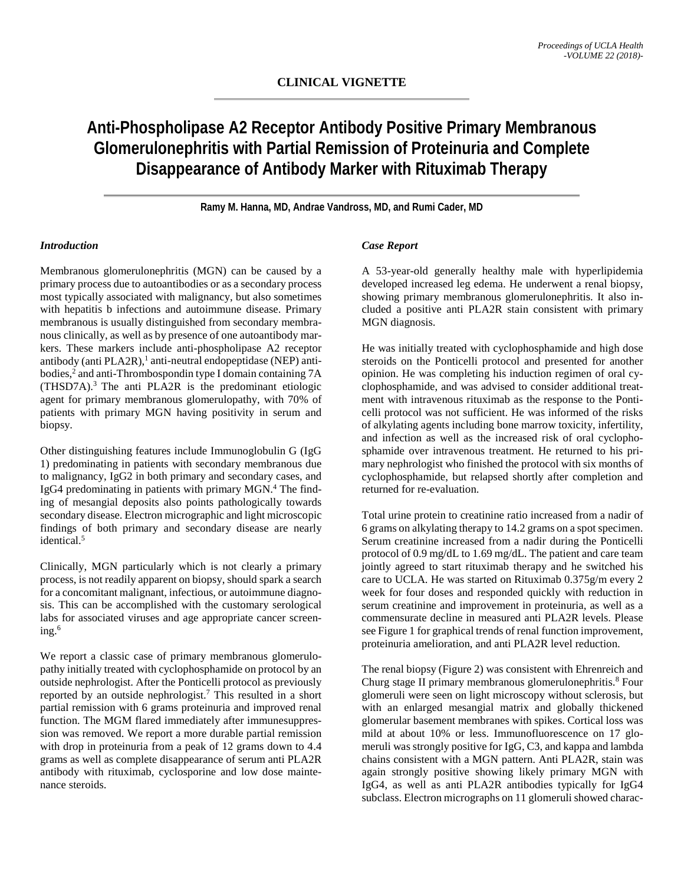# **Anti-Phospholipase A2 Receptor Antibody Positive Primary Membranous Glomerulonephritis with Partial Remission of Proteinuria and Complete Disappearance of Antibody Marker with Rituximab Therapy**

**Ramy M. Hanna, MD, Andrae Vandross, MD, and Rumi Cader, MD**

### *Introduction*

Membranous glomerulonephritis (MGN) can be caused by a primary process due to autoantibodies or as a secondary process most typically associated with malignancy, but also sometimes with hepatitis b infections and autoimmune disease. Primary membranous is usually distinguished from secondary membranous clinically, as well as by presence of one autoantibody markers. These markers include anti-phospholipase A2 receptor antibody (anti PLA2R),<sup>1</sup> anti-neutral endopeptidase (NEP) antibodies, <sup>2</sup> and anti-Thrombospondin type I domain containing 7A (THSD7A).3 The anti PLA2R is the predominant etiologic agent for primary membranous glomerulopathy, with 70% of patients with primary MGN having positivity in serum and biopsy.

Other distinguishing features include Immunoglobulin G (IgG 1) predominating in patients with secondary membranous due to malignancy, IgG2 in both primary and secondary cases, and IgG4 predominating in patients with primary MGN. <sup>4</sup> The finding of mesangial deposits also points pathologically towards secondary disease. Electron micrographic and light microscopic findings of both primary and secondary disease are nearly identical. 5

Clinically, MGN particularly which is not clearly a primary process, is not readily apparent on biopsy, should spark a search for a concomitant malignant, infectious, or autoimmune diagnosis. This can be accomplished with the customary serological labs for associated viruses and age appropriate cancer screening. 6

We report a classic case of primary membranous glomerulopathy initially treated with cyclophosphamide on protocol by an outside nephrologist. After the Ponticelli protocol as previously reported by an outside nephrologist. <sup>7</sup> This resulted in a short partial remission with 6 grams proteinuria and improved renal function. The MGM flared immediately after immunesuppression was removed. We report a more durable partial remission with drop in proteinuria from a peak of 12 grams down to 4.4 grams as well as complete disappearance of serum anti PLA2R antibody with rituximab, cyclosporine and low dose maintenance steroids.

### *Case Report*

A 53-year-old generally healthy male with hyperlipidemia developed increased leg edema. He underwent a renal biopsy, showing primary membranous glomerulonephritis. It also included a positive anti PLA2R stain consistent with primary MGN diagnosis.

He was initially treated with cyclophosphamide and high dose steroids on the Ponticelli protocol and presented for another opinion. He was completing his induction regimen of oral cyclophosphamide, and was advised to consider additional treatment with intravenous rituximab as the response to the Ponticelli protocol was not sufficient. He was informed of the risks of alkylating agents including bone marrow toxicity, infertility, and infection as well as the increased risk of oral cyclophosphamide over intravenous treatment. He returned to his primary nephrologist who finished the protocol with six months of cyclophosphamide, but relapsed shortly after completion and returned for re-evaluation.

Total urine protein to creatinine ratio increased from a nadir of 6 grams on alkylating therapy to 14.2 grams on a spot specimen. Serum creatinine increased from a nadir during the Ponticelli protocol of 0.9 mg/dL to 1.69 mg/dL. The patient and care team jointly agreed to start rituximab therapy and he switched his care to UCLA. He was started on Rituximab 0.375g/m every 2 week for four doses and responded quickly with reduction in serum creatinine and improvement in proteinuria, as well as a commensurate decline in measured anti PLA2R levels. Please see Figure 1 for graphical trends of renal function improvement, proteinuria amelioration, and anti PLA2R level reduction.

The renal biopsy (Figure 2) was consistent with Ehrenreich and Churg stage II primary membranous glomerulonephritis. <sup>8</sup> Four glomeruli were seen on light microscopy without sclerosis, but with an enlarged mesangial matrix and globally thickened glomerular basement membranes with spikes. Cortical loss was mild at about 10% or less. Immunofluorescence on 17 glomeruli was strongly positive for IgG, C3, and kappa and lambda chains consistent with a MGN pattern. Anti PLA2R, stain was again strongly positive showing likely primary MGN with IgG4, as well as anti PLA2R antibodies typically for IgG4 subclass. Electron micrographs on 11 glomeruli showed charac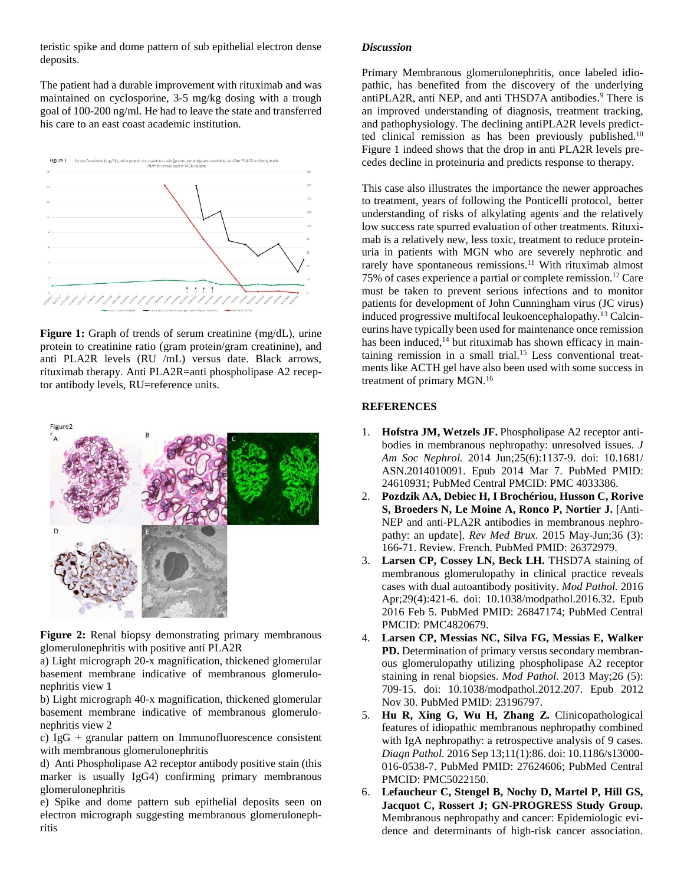teristic spike and dome pattern of sub epithelial electron dense deposits.

The patient had a durable improvement with rituximab and was maintained on cyclosporine, 3-5 mg/kg dosing with a trough goal of 100-200 ng/ml. He had to leave the state and transferred his care to an east coast academic institution.



**Figure 1:** Graph of trends of serum creatinine (mg/dL), urine protein to creatinine ratio (gram protein/gram creatinine), and anti PLA2R levels (RU /mL) versus date. Black arrows, rituximab therapy. Anti PLA2R=anti phospholipase A2 receptor antibody levels, RU=reference units.



**Figure 2:** Renal biopsy demonstrating primary membranous glomerulonephritis with positive anti PLA2R

a) Light micrograph 20-x magnification, thickened glomerular basement membrane indicative of membranous glomerulonephritis view 1

b) Light micrograph 40-x magnification, thickened glomerular basement membrane indicative of membranous glomerulonephritis view 2

c) IgG + granular pattern on Immunofluorescence consistent with membranous glomerulonephritis

d) Anti Phospholipase A2 receptor antibody positive stain (this marker is usually IgG4) confirming primary membranous glomerulonephritis

e) Spike and dome pattern sub epithelial deposits seen on electron micrograph suggesting membranous glomerulonephritis

## *Discussion*

Primary Membranous glomerulonephritis, once labeled idiopathic, has benefited from the discovery of the underlying antiPLA2R, anti NEP, and anti THSD7A antibodies. <sup>9</sup> There is an improved understanding of diagnosis, treatment tracking, and pathophysiology. The declining antiPLA2R levels predictted clinical remission as has been previously published.<sup>10</sup> Figure 1 indeed shows that the drop in anti PLA2R levels precedes decline in proteinuria and predicts response to therapy.

This case also illustrates the importance the newer approaches to treatment, years of following the Ponticelli protocol, better understanding of risks of alkylating agents and the relatively low success rate spurred evaluation of other treatments. Rituximab is a relatively new, less toxic, treatment to reduce proteinuria in patients with MGN who are severely nephrotic and rarely have spontaneous remissions.<sup>11</sup> With rituximab almost 75% of cases experience a partial or complete remission. <sup>12</sup> Care must be taken to prevent serious infections and to monitor patients for development of John Cunningham virus (JC virus) induced progressive multifocal leukoencephalopathy.13 Calcineurins have typically been used for maintenance once remission has been induced,<sup>14</sup> but rituximab has shown efficacy in maintaining remission in a small trial. <sup>15</sup> Less conventional treatments like ACTH gel have also been used with some success in treatment of primary MGN. 16

## **REFERENCES**

- 1. **Hofstra JM, Wetzels JF.** Phospholipase A2 receptor antibodies in membranous nephropathy: unresolved issues. *J Am Soc Nephrol.* 2014 Jun;25(6):1137-9. doi: 10.1681/ ASN.2014010091. Epub 2014 Mar 7. PubMed PMID: 24610931; PubMed Central PMCID: PMC 4033386.
- 2. **Pozdzik AA, Debiec H, I Brochériou, Husson C, Rorive S, Broeders N, Le Moine A, Ronco P, Nortier J.** [Anti-NEP and anti-PLA2R antibodies in membranous nephropathy: an update]. *Rev Med Brux.* 2015 May-Jun;36 (3): 166-71. Review. French. PubMed PMID: 26372979.
- 3. **Larsen CP, Cossey LN, Beck LH.** THSD7A staining of membranous glomerulopathy in clinical practice reveals cases with dual autoantibody positivity. *Mod Pathol.* 2016 Apr;29(4):421-6. doi: 10.1038/modpathol.2016.32. Epub 2016 Feb 5. PubMed PMID: 26847174; PubMed Central PMCID: PMC4820679.
- 4. **Larsen CP, Messias NC, Silva FG, Messias E, Walker**  PD. Determination of primary versus secondary membranous glomerulopathy utilizing phospholipase A2 receptor staining in renal biopsies. *Mod Pathol.* 2013 May;26 (5): 709-15. doi: 10.1038/modpathol.2012.207. Epub 2012 Nov 30. PubMed PMID: 23196797.
- 5. **Hu R, Xing G, Wu H, Zhang Z.** Clinicopathological features of idiopathic membranous nephropathy combined with IgA nephropathy: a retrospective analysis of 9 cases. *Diagn Pathol.* 2016 Sep 13;11(1):86. doi: 10.1186/s13000- 016-0538-7. PubMed PMID: 27624606; PubMed Central PMCID: PMC5022150.
- 6. **Lefaucheur C, Stengel B, Nochy D, Martel P, Hill GS, Jacquot C, Rossert J; GN-PROGRESS Study Group.**  Membranous nephropathy and cancer: Epidemiologic evidence and determinants of high-risk cancer association.